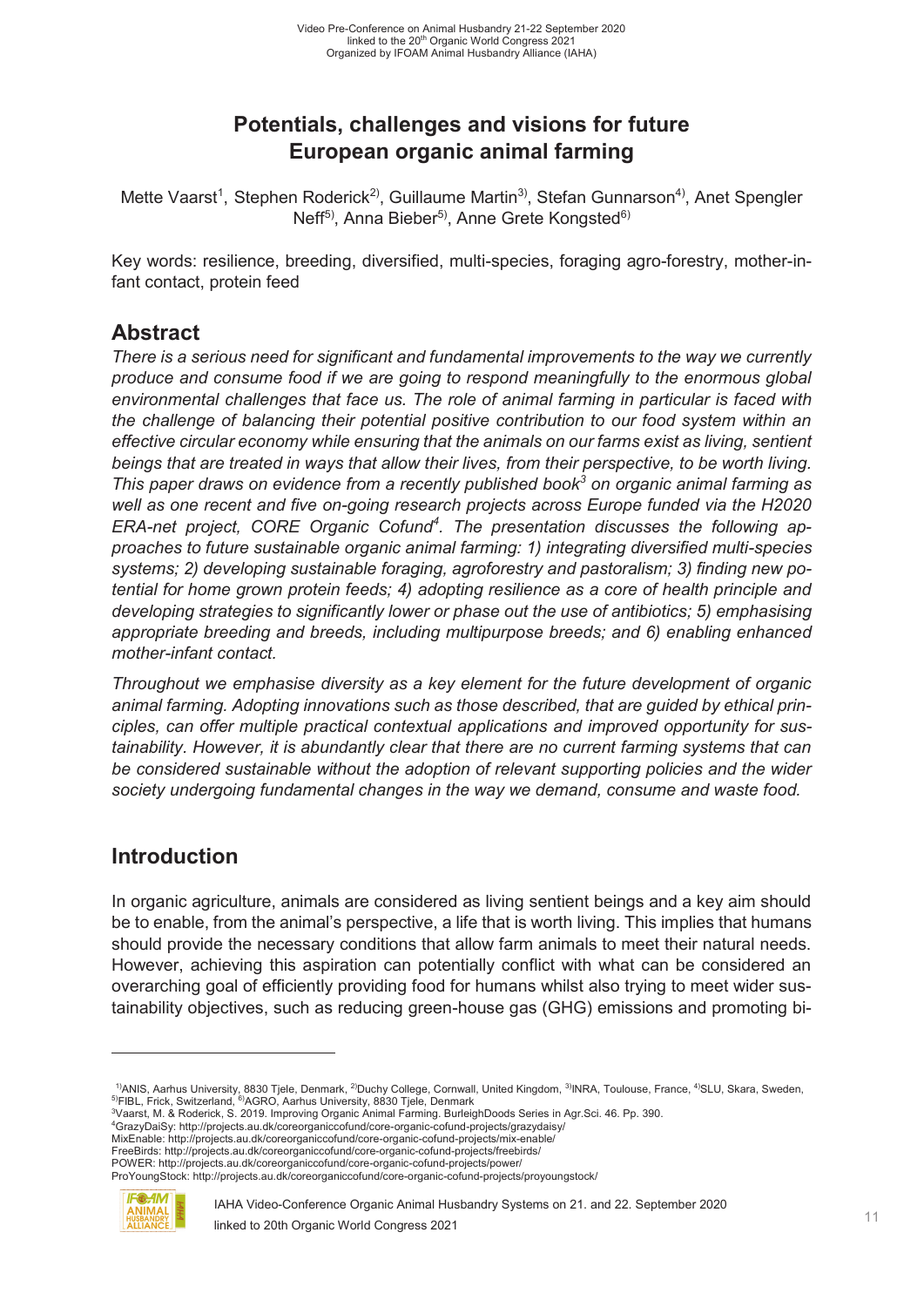# **Potentials, challenges and visions for future European organic animal farming**

Mette Vaarst<sup>1</sup>, Stephen Roderick<sup>2)</sup>, Guillaume Martin<sup>3)</sup>, Stefan Gunnarson<sup>4)</sup>, Anet Spengler Neff<sup>5)</sup>, Anna Bieber<sup>5)</sup>, Anne Grete Kongsted<sup>6)</sup>

Key words: resilience, breeding, diversified, multi-species, foraging agro-forestry, mother-infant contact, protein feed

## **Abstract**

*There is a serious need for significant and fundamental improvements to the way we currently produce and consume food if we are going to respond meaningfully to the enormous global environmental challenges that face us. The role of animal farming in particular is faced with the challenge of balancing their potential positive contribution to our food system within an effective circular economy while ensuring that the animals on our farms exist as living, sentient beings that are treated in ways that allow their lives, from their perspective, to be worth living. This paper draws on evidence from a recently published book<sup>3</sup> on organic animal farming as well as one recent and five on-going research projects across Europe funded via the H2020*  ERA-net project, CORE Organic Cofund<sup>4</sup>. The presentation discusses the following ap*proaches to future sustainable organic animal farming: 1) integrating diversified multi-species systems; 2) developing sustainable foraging, agroforestry and pastoralism; 3) finding new potential for home grown protein feeds; 4) adopting resilience as a core of health principle and developing strategies to significantly lower or phase out the use of antibiotics; 5) emphasising appropriate breeding and breeds, including multipurpose breeds; and 6) enabling enhanced mother-infant contact.* 

*Throughout we emphasise diversity as a key element for the future development of organic animal farming. Adopting innovations such as those described, that are guided by ethical principles, can offer multiple practical contextual applications and improved opportunity for sustainability. However, it is abundantly clear that there are no current farming systems that can be considered sustainable without the adoption of relevant supporting policies and the wider society undergoing fundamental changes in the way we demand, consume and waste food.* 

### **Introduction**

In organic agriculture, animals are considered as living sentient beings and a key aim should be to enable, from the animal's perspective, a life that is worth living. This implies that humans should provide the necessary conditions that allow farm animals to meet their natural needs. However, achieving this aspiration can potentially conflict with what can be considered an overarching goal of efficiently providing food for humans whilst also trying to meet wider sustainability objectives, such as reducing green-house gas (GHG) emissions and promoting bi-

GrazyDaiSy: http://projects.au.dk/coreorganiccofund/core-organic-cofund-projects/grazydaisy/ MixEnable: http://projects.au.dk/coreorganiccofund/core-organic-cofund-projects/mix-enable/

POWER: http://projects.au.dk/coreorganiccofund/core-organic-cofund-projects/power/

ProYoungStock: http://projects.au.dk/coreorganiccofund/core-organic-cofund-projects/proyoungstock/



-

<sup>&</sup>lt;sup>1)</sup>ANIS, Aarhus University, 8830 Tjele, Denmark, <sup>2)</sup>Duchy College, Cornwall, United Kingdom, <sup>3)</sup>INRA, Toulouse, France, <sup>4)</sup>SLU, Skara, Sweden,<br><sup>5)</sup>FIBL, Frick, Switzerland, <sup>6)</sup>AGRO, Aarhus University, 8830 Tjele, Denm

Vaarst, M. & Roderick, S. 2019. Improving Organic Animal Farming. BurleighDoods Series in Agr.Sci. 46. Pp. 390. 4

FreeBirds: http://projects.au.dk/coreorganiccofund/core-organic-cofund-projects/freebirds/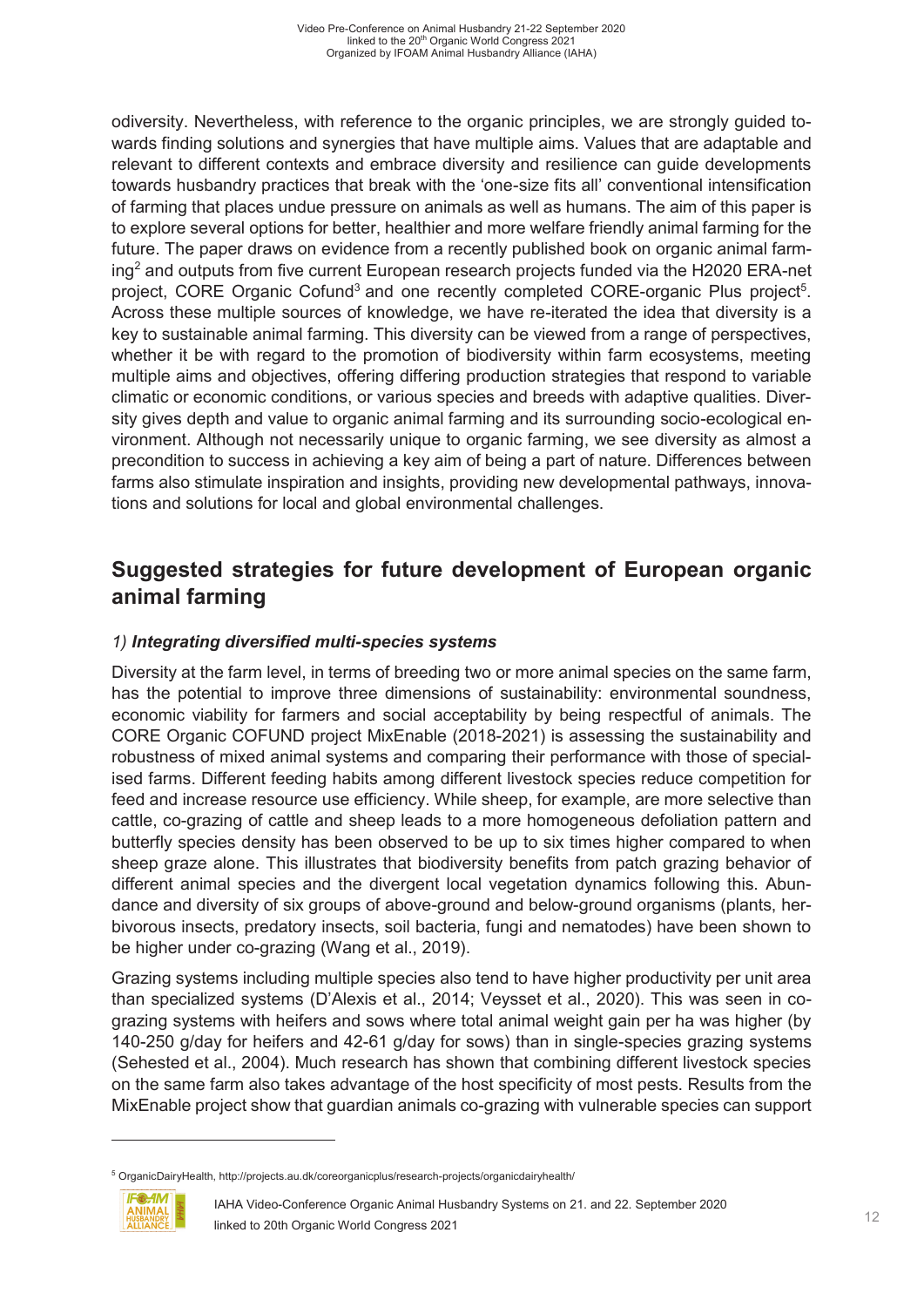odiversity. Nevertheless, with reference to the organic principles, we are strongly guided towards finding solutions and synergies that have multiple aims. Values that are adaptable and relevant to different contexts and embrace diversity and resilience can guide developments towards husbandry practices that break with the 'one-size fits all' conventional intensification of farming that places undue pressure on animals as well as humans. The aim of this paper is to explore several options for better, healthier and more welfare friendly animal farming for the future. The paper draws on evidence from a recently published book on organic animal farming<sup>2</sup> and outputs from five current European research projects funded via the H2020 ERA-net project, CORE Organic Cofund<sup>3</sup> and one recently completed CORE-organic Plus project<sup>5</sup>. Across these multiple sources of knowledge, we have re-iterated the idea that diversity is a key to sustainable animal farming. This diversity can be viewed from a range of perspectives, whether it be with regard to the promotion of biodiversity within farm ecosystems, meeting multiple aims and objectives, offering differing production strategies that respond to variable climatic or economic conditions, or various species and breeds with adaptive qualities. Diversity gives depth and value to organic animal farming and its surrounding socio-ecological environment. Although not necessarily unique to organic farming, we see diversity as almost a precondition to success in achieving a key aim of being a part of nature. Differences between farms also stimulate inspiration and insights, providing new developmental pathways, innovations and solutions for local and global environmental challenges.

## **Suggested strategies for future development of European organic animal farming**

#### *1) Integrating diversified multi-species systems*

Diversity at the farm level, in terms of breeding two or more animal species on the same farm, has the potential to improve three dimensions of sustainability: environmental soundness, economic viability for farmers and social acceptability by being respectful of animals. The CORE Organic COFUND project MixEnable (2018-2021) is assessing the sustainability and robustness of mixed animal systems and comparing their performance with those of specialised farms. Different feeding habits among different livestock species reduce competition for feed and increase resource use efficiency. While sheep, for example, are more selective than cattle, co-grazing of cattle and sheep leads to a more homogeneous defoliation pattern and butterfly species density has been observed to be up to six times higher compared to when sheep graze alone. This illustrates that biodiversity benefits from patch grazing behavior of different animal species and the divergent local vegetation dynamics following this. Abundance and diversity of six groups of above-ground and below-ground organisms (plants, herbivorous insects, predatory insects, soil bacteria, fungi and nematodes) have been shown to be higher under co-grazing (Wang et al., 2019).

Grazing systems including multiple species also tend to have higher productivity per unit area than specialized systems (D'Alexis et al., 2014; Veysset et al., 2020). This was seen in cograzing systems with heifers and sows where total animal weight gain per ha was higher (by 140-250 g/day for heifers and 42-61 g/day for sows) than in single-species grazing systems (Sehested et al., 2004). Much research has shown that combining different livestock species on the same farm also takes advantage of the host specificity of most pests. Results from the MixEnable project show that guardian animals co-grazing with vulnerable species can support

<sup>5</sup> OrganicDairyHealth, http://projects.au.dk/coreorganicplus/research-projects/organicdairyhealth/



-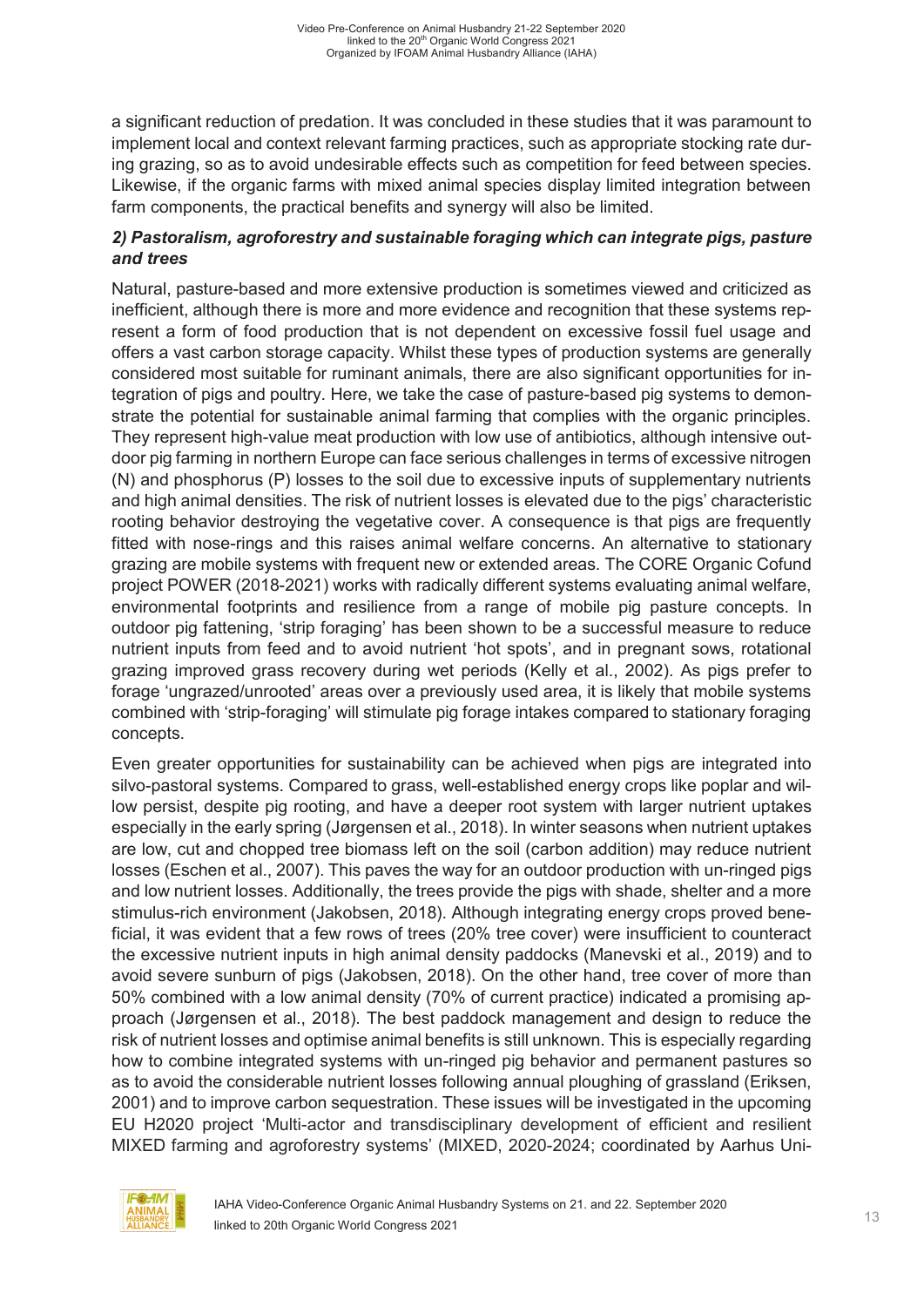a significant reduction of predation. It was concluded in these studies that it was paramount to implement local and context relevant farming practices, such as appropriate stocking rate during grazing, so as to avoid undesirable effects such as competition for feed between species. Likewise, if the organic farms with mixed animal species display limited integration between farm components, the practical benefits and synergy will also be limited.

#### *2) Pastoralism, agroforestry and sustainable foraging which can integrate pigs, pasture and trees*

Natural, pasture-based and more extensive production is sometimes viewed and criticized as inefficient, although there is more and more evidence and recognition that these systems represent a form of food production that is not dependent on excessive fossil fuel usage and offers a vast carbon storage capacity. Whilst these types of production systems are generally considered most suitable for ruminant animals, there are also significant opportunities for integration of pigs and poultry. Here, we take the case of pasture-based pig systems to demonstrate the potential for sustainable animal farming that complies with the organic principles. They represent high-value meat production with low use of antibiotics, although intensive outdoor pig farming in northern Europe can face serious challenges in terms of excessive nitrogen (N) and phosphorus (P) losses to the soil due to excessive inputs of supplementary nutrients and high animal densities. The risk of nutrient losses is elevated due to the pigs' characteristic rooting behavior destroying the vegetative cover. A consequence is that pigs are frequently fitted with nose-rings and this raises animal welfare concerns. An alternative to stationary grazing are mobile systems with frequent new or extended areas. The CORE Organic Cofund project POWER (2018-2021) works with radically different systems evaluating animal welfare, environmental footprints and resilience from a range of mobile pig pasture concepts. In outdoor pig fattening, 'strip foraging' has been shown to be a successful measure to reduce nutrient inputs from feed and to avoid nutrient 'hot spots', and in pregnant sows, rotational grazing improved grass recovery during wet periods (Kelly et al., 2002). As pigs prefer to forage 'ungrazed/unrooted' areas over a previously used area, it is likely that mobile systems combined with 'strip-foraging' will stimulate pig forage intakes compared to stationary foraging concepts.

Even greater opportunities for sustainability can be achieved when pigs are integrated into silvo-pastoral systems. Compared to grass, well-established energy crops like poplar and willow persist, despite pig rooting, and have a deeper root system with larger nutrient uptakes especially in the early spring (Jørgensen et al., 2018). In winter seasons when nutrient uptakes are low, cut and chopped tree biomass left on the soil (carbon addition) may reduce nutrient losses (Eschen et al., 2007). This paves the way for an outdoor production with un-ringed pigs and low nutrient losses. Additionally, the trees provide the pigs with shade, shelter and a more stimulus-rich environment (Jakobsen, 2018). Although integrating energy crops proved beneficial, it was evident that a few rows of trees (20% tree cover) were insufficient to counteract the excessive nutrient inputs in high animal density paddocks (Manevski et al., 2019) and to avoid severe sunburn of pigs (Jakobsen, 2018). On the other hand, tree cover of more than 50% combined with a low animal density (70% of current practice) indicated a promising approach (Jørgensen et al., 2018). The best paddock management and design to reduce the risk of nutrient losses and optimise animal benefits is still unknown. This is especially regarding how to combine integrated systems with un-ringed pig behavior and permanent pastures so as to avoid the considerable nutrient losses following annual ploughing of grassland (Eriksen, 2001) and to improve carbon sequestration. These issues will be investigated in the upcoming EU H2020 project 'Multi-actor and transdisciplinary development of efficient and resilient MIXED farming and agroforestry systems' (MIXED, 2020-2024; coordinated by Aarhus Uni-

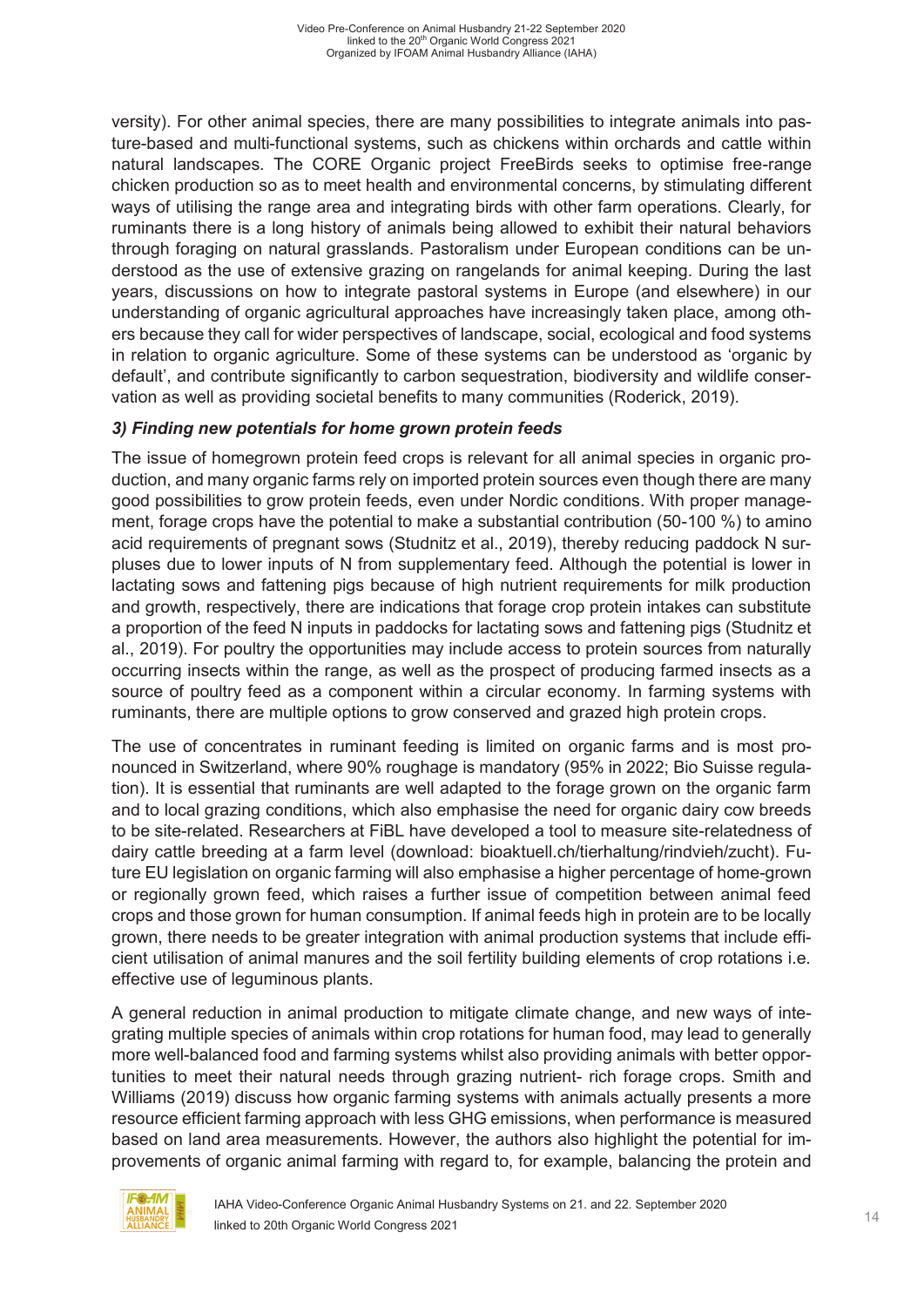versity). For other animal species, there are many possibilities to integrate animals into pasture-based and multi-functional systems, such as chickens within orchards and cattle within natural landscapes. The CORE Organic project FreeBirds seeks to optimise free-range chicken production so as to meet health and environmental concerns, by stimulating different ways of utilising the range area and integrating birds with other farm operations. Clearly, for ruminants there is a long history of animals being allowed to exhibit their natural behaviors through foraging on natural grasslands. Pastoralism under European conditions can be understood as the use of extensive grazing on rangelands for animal keeping. During the last years, discussions on how to integrate pastoral systems in Europe (and elsewhere) in our understanding of organic agricultural approaches have increasingly taken place, among others because they call for wider perspectives of landscape, social, ecological and food systems in relation to organic agriculture. Some of these systems can be understood as 'organic by default', and contribute significantly to carbon sequestration, biodiversity and wildlife conservation as well as providing societal benefits to many communities (Roderick, 2019).

#### *3) Finding new potentials for home grown protein feeds*

The issue of homegrown protein feed crops is relevant for all animal species in organic production, and many organic farms rely on imported protein sources even though there are many good possibilities to grow protein feeds, even under Nordic conditions. With proper management, forage crops have the potential to make a substantial contribution (50-100 %) to amino acid requirements of pregnant sows (Studnitz et al., 2019), thereby reducing paddock N surpluses due to lower inputs of N from supplementary feed. Although the potential is lower in lactating sows and fattening pigs because of high nutrient requirements for milk production and growth, respectively, there are indications that forage crop protein intakes can substitute a proportion of the feed N inputs in paddocks for lactating sows and fattening pigs (Studnitz et al., 2019). For poultry the opportunities may include access to protein sources from naturally occurring insects within the range, as well as the prospect of producing farmed insects as a source of poultry feed as a component within a circular economy. In farming systems with ruminants, there are multiple options to grow conserved and grazed high protein crops.

The use of concentrates in ruminant feeding is limited on organic farms and is most pronounced in Switzerland, where 90% roughage is mandatory (95% in 2022; Bio Suisse regulation). It is essential that ruminants are well adapted to the forage grown on the organic farm and to local grazing conditions, which also emphasise the need for organic dairy cow breeds to be site-related. Researchers at FiBL have developed a tool to measure site-relatedness of dairy cattle breeding at a farm level (download: bioaktuell.ch/tierhaltung/rindvieh/zucht). Future EU legislation on organic farming will also emphasise a higher percentage of home-grown or regionally grown feed, which raises a further issue of competition between animal feed crops and those grown for human consumption. If animal feeds high in protein are to be locally grown, there needs to be greater integration with animal production systems that include efficient utilisation of animal manures and the soil fertility building elements of crop rotations i.e. effective use of leguminous plants.

A general reduction in animal production to mitigate climate change, and new ways of integrating multiple species of animals within crop rotations for human food, may lead to generally more well-balanced food and farming systems whilst also providing animals with better opportunities to meet their natural needs through grazing nutrient- rich forage crops. Smith and Williams (2019) discuss how organic farming systems with animals actually presents a more resource efficient farming approach with less GHG emissions, when performance is measured based on land area measurements. However, the authors also highlight the potential for improvements of organic animal farming with regard to, for example, balancing the protein and

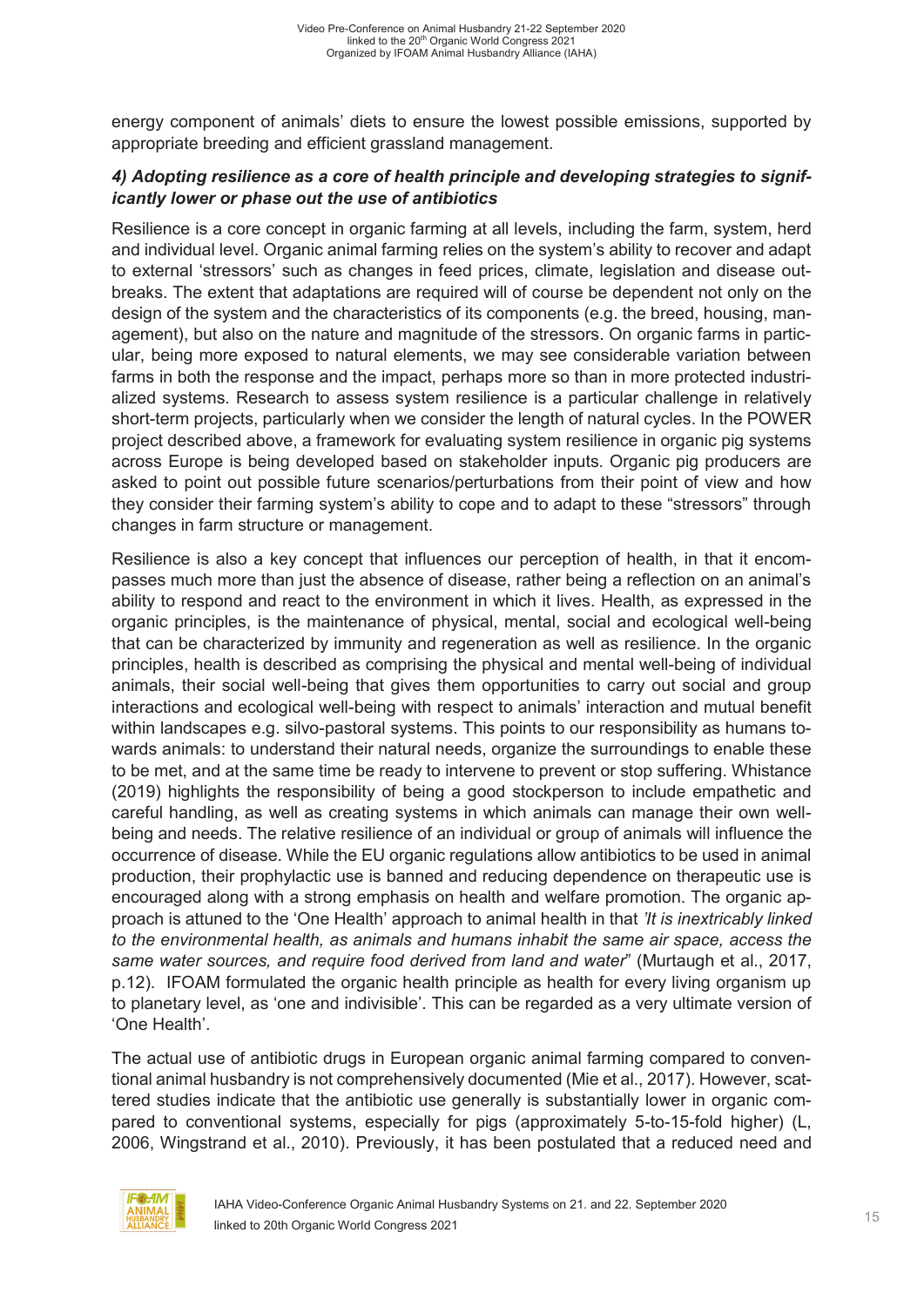energy component of animals' diets to ensure the lowest possible emissions, supported by appropriate breeding and efficient grassland management.

#### *4) Adopting resilience as a core of health principle and developing strategies to significantly lower or phase out the use of antibiotics*

Resilience is a core concept in organic farming at all levels, including the farm, system, herd and individual level. Organic animal farming relies on the system's ability to recover and adapt to external 'stressors' such as changes in feed prices, climate, legislation and disease outbreaks. The extent that adaptations are required will of course be dependent not only on the design of the system and the characteristics of its components (e.g. the breed, housing, management), but also on the nature and magnitude of the stressors. On organic farms in particular, being more exposed to natural elements, we may see considerable variation between farms in both the response and the impact, perhaps more so than in more protected industrialized systems. Research to assess system resilience is a particular challenge in relatively short-term projects, particularly when we consider the length of natural cycles. In the POWER project described above, a framework for evaluating system resilience in organic pig systems across Europe is being developed based on stakeholder inputs. Organic pig producers are asked to point out possible future scenarios/perturbations from their point of view and how they consider their farming system's ability to cope and to adapt to these "stressors" through changes in farm structure or management.

Resilience is also a key concept that influences our perception of health, in that it encompasses much more than just the absence of disease, rather being a reflection on an animal's ability to respond and react to the environment in which it lives. Health, as expressed in the organic principles, is the maintenance of physical, mental, social and ecological well-being that can be characterized by immunity and regeneration as well as resilience. In the organic principles, health is described as comprising the physical and mental well-being of individual animals, their social well-being that gives them opportunities to carry out social and group interactions and ecological well-being with respect to animals' interaction and mutual benefit within landscapes e.g. silvo-pastoral systems. This points to our responsibility as humans towards animals: to understand their natural needs, organize the surroundings to enable these to be met, and at the same time be ready to intervene to prevent or stop suffering. Whistance (2019) highlights the responsibility of being a good stockperson to include empathetic and careful handling, as well as creating systems in which animals can manage their own wellbeing and needs. The relative resilience of an individual or group of animals will influence the occurrence of disease. While the EU organic regulations allow antibiotics to be used in animal production, their prophylactic use is banned and reducing dependence on therapeutic use is encouraged along with a strong emphasis on health and welfare promotion. The organic approach is attuned to the 'One Health' approach to animal health in that *'It is inextricably linked to the environmental health, as animals and humans inhabit the same air space, access the same water sources, and require food derived from land and water*" (Murtaugh et al., 2017, p.12). IFOAM formulated the organic health principle as health for every living organism up to planetary level, as 'one and indivisible'. This can be regarded as a very ultimate version of 'One Health'.

The actual use of antibiotic drugs in European organic animal farming compared to conventional animal husbandry is not comprehensively documented (Mie et al., 2017). However, scattered studies indicate that the antibiotic use generally is substantially lower in organic compared to conventional systems, especially for pigs (approximately 5-to-15-fold higher) (L, 2006, Wingstrand et al., 2010). Previously, it has been postulated that a reduced need and

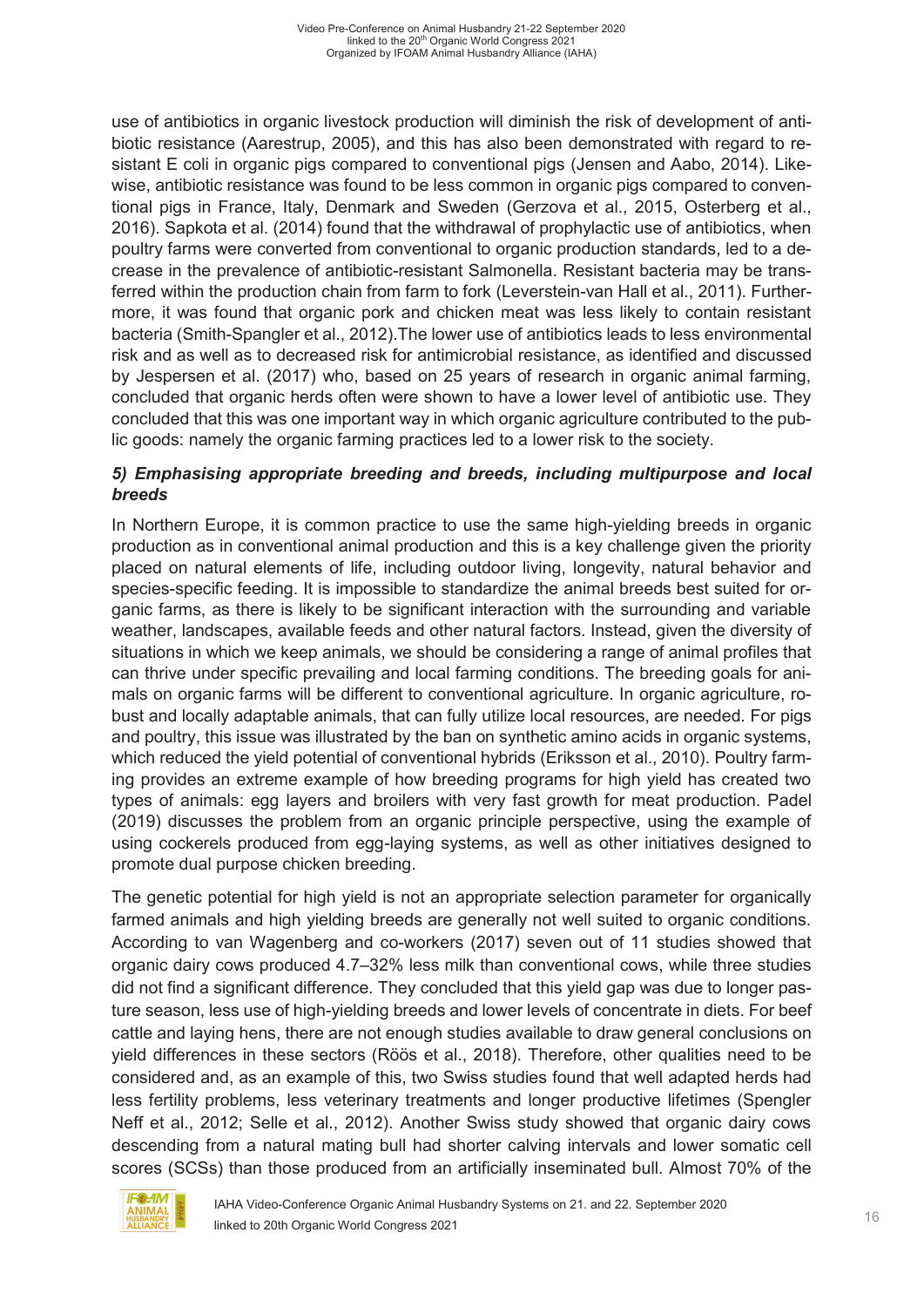use of antibiotics in organic livestock production will diminish the risk of development of antibiotic resistance (Aarestrup, 2005), and this has also been demonstrated with regard to resistant E coli in organic pigs compared to conventional pigs (Jensen and Aabo, 2014). Likewise, antibiotic resistance was found to be less common in organic pigs compared to conventional pigs in France, Italy, Denmark and Sweden (Gerzova et al., 2015, Osterberg et al., 2016). Sapkota et al. (2014) found that the withdrawal of prophylactic use of antibiotics, when poultry farms were converted from conventional to organic production standards, led to a decrease in the prevalence of antibiotic-resistant Salmonella. Resistant bacteria may be transferred within the production chain from farm to fork (Leverstein-van Hall et al., 2011). Furthermore, it was found that organic pork and chicken meat was less likely to contain resistant bacteria (Smith-Spangler et al., 2012).The lower use of antibiotics leads to less environmental risk and as well as to decreased risk for antimicrobial resistance, as identified and discussed by Jespersen et al. (2017) who, based on 25 years of research in organic animal farming, concluded that organic herds often were shown to have a lower level of antibiotic use. They concluded that this was one important way in which organic agriculture contributed to the public goods: namely the organic farming practices led to a lower risk to the society.

#### *5) Emphasising appropriate breeding and breeds, including multipurpose and local breeds*

In Northern Europe, it is common practice to use the same high-yielding breeds in organic production as in conventional animal production and this is a key challenge given the priority placed on natural elements of life, including outdoor living, longevity, natural behavior and species-specific feeding. It is impossible to standardize the animal breeds best suited for organic farms, as there is likely to be significant interaction with the surrounding and variable weather, landscapes, available feeds and other natural factors. Instead, given the diversity of situations in which we keep animals, we should be considering a range of animal profiles that can thrive under specific prevailing and local farming conditions. The breeding goals for animals on organic farms will be different to conventional agriculture. In organic agriculture, robust and locally adaptable animals, that can fully utilize local resources, are needed. For pigs and poultry, this issue was illustrated by the ban on synthetic amino acids in organic systems, which reduced the yield potential of conventional hybrids (Eriksson et al., 2010). Poultry farming provides an extreme example of how breeding programs for high yield has created two types of animals: egg layers and broilers with very fast growth for meat production. Padel (2019) discusses the problem from an organic principle perspective, using the example of using cockerels produced from egg-laying systems, as well as other initiatives designed to promote dual purpose chicken breeding.

The genetic potential for high yield is not an appropriate selection parameter for organically farmed animals and high yielding breeds are generally not well suited to organic conditions. According to van Wagenberg and co-workers (2017) seven out of 11 studies showed that organic dairy cows produced 4.7–32% less milk than conventional cows, while three studies did not find a significant difference. They concluded that this yield gap was due to longer pasture season, less use of high-yielding breeds and lower levels of concentrate in diets. For beef cattle and laying hens, there are not enough studies available to draw general conclusions on yield differences in these sectors (Röös et al., 2018). Therefore, other qualities need to be considered and, as an example of this, two Swiss studies found that well adapted herds had less fertility problems, less veterinary treatments and longer productive lifetimes (Spengler Neff et al., 2012; Selle et al., 2012). Another Swiss study showed that organic dairy cows descending from a natural mating bull had shorter calving intervals and lower somatic cell scores (SCSs) than those produced from an artificially inseminated bull. Almost 70% of the

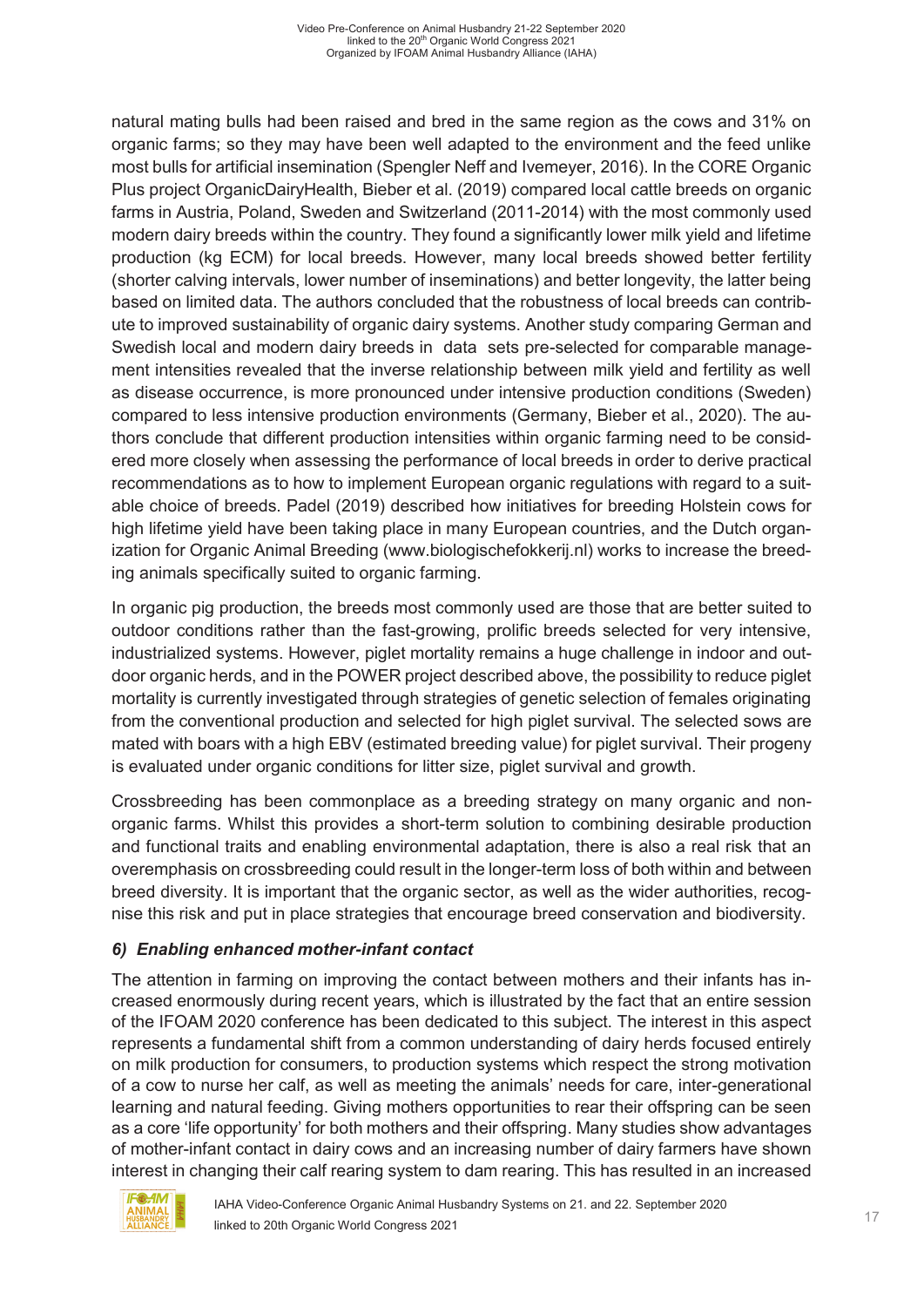natural mating bulls had been raised and bred in the same region as the cows and 31% on organic farms; so they may have been well adapted to the environment and the feed unlike most bulls for artificial insemination (Spengler Neff and Ivemeyer, 2016). In the CORE Organic Plus project OrganicDairyHealth, Bieber et al. (2019) compared local cattle breeds on organic farms in Austria, Poland, Sweden and Switzerland (2011-2014) with the most commonly used modern dairy breeds within the country. They found a significantly lower milk yield and lifetime production (kg ECM) for local breeds. However, many local breeds showed better fertility (shorter calving intervals, lower number of inseminations) and better longevity, the latter being based on limited data. The authors concluded that the robustness of local breeds can contribute to improved sustainability of organic dairy systems. Another study comparing German and Swedish local and modern dairy breeds in data sets pre-selected for comparable management intensities revealed that the inverse relationship between milk yield and fertility as well as disease occurrence, is more pronounced under intensive production conditions (Sweden) compared to less intensive production environments (Germany, Bieber et al., 2020). The authors conclude that different production intensities within organic farming need to be considered more closely when assessing the performance of local breeds in order to derive practical recommendations as to how to implement European organic regulations with regard to a suitable choice of breeds. Padel (2019) described how initiatives for breeding Holstein cows for high lifetime yield have been taking place in many European countries, and the Dutch organization for Organic Animal Breeding (www.biologischefokkerij.nl) works to increase the breeding animals specifically suited to organic farming.

In organic pig production, the breeds most commonly used are those that are better suited to outdoor conditions rather than the fast-growing, prolific breeds selected for very intensive, industrialized systems. However, piglet mortality remains a huge challenge in indoor and outdoor organic herds, and in the POWER project described above, the possibility to reduce piglet mortality is currently investigated through strategies of genetic selection of females originating from the conventional production and selected for high piglet survival. The selected sows are mated with boars with a high EBV (estimated breeding value) for piglet survival. Their progeny is evaluated under organic conditions for litter size, piglet survival and growth.

Crossbreeding has been commonplace as a breeding strategy on many organic and nonorganic farms. Whilst this provides a short-term solution to combining desirable production and functional traits and enabling environmental adaptation, there is also a real risk that an overemphasis on crossbreeding could result in the longer-term loss of both within and between breed diversity. It is important that the organic sector, as well as the wider authorities, recognise this risk and put in place strategies that encourage breed conservation and biodiversity.

#### *6) Enabling enhanced mother-infant contact*

The attention in farming on improving the contact between mothers and their infants has increased enormously during recent years, which is illustrated by the fact that an entire session of the IFOAM 2020 conference has been dedicated to this subject. The interest in this aspect represents a fundamental shift from a common understanding of dairy herds focused entirely on milk production for consumers, to production systems which respect the strong motivation of a cow to nurse her calf, as well as meeting the animals' needs for care, inter-generational learning and natural feeding. Giving mothers opportunities to rear their offspring can be seen as a core 'life opportunity' for both mothers and their offspring. Many studies show advantages of mother-infant contact in dairy cows and an increasing number of dairy farmers have shown interest in changing their calf rearing system to dam rearing. This has resulted in an increased

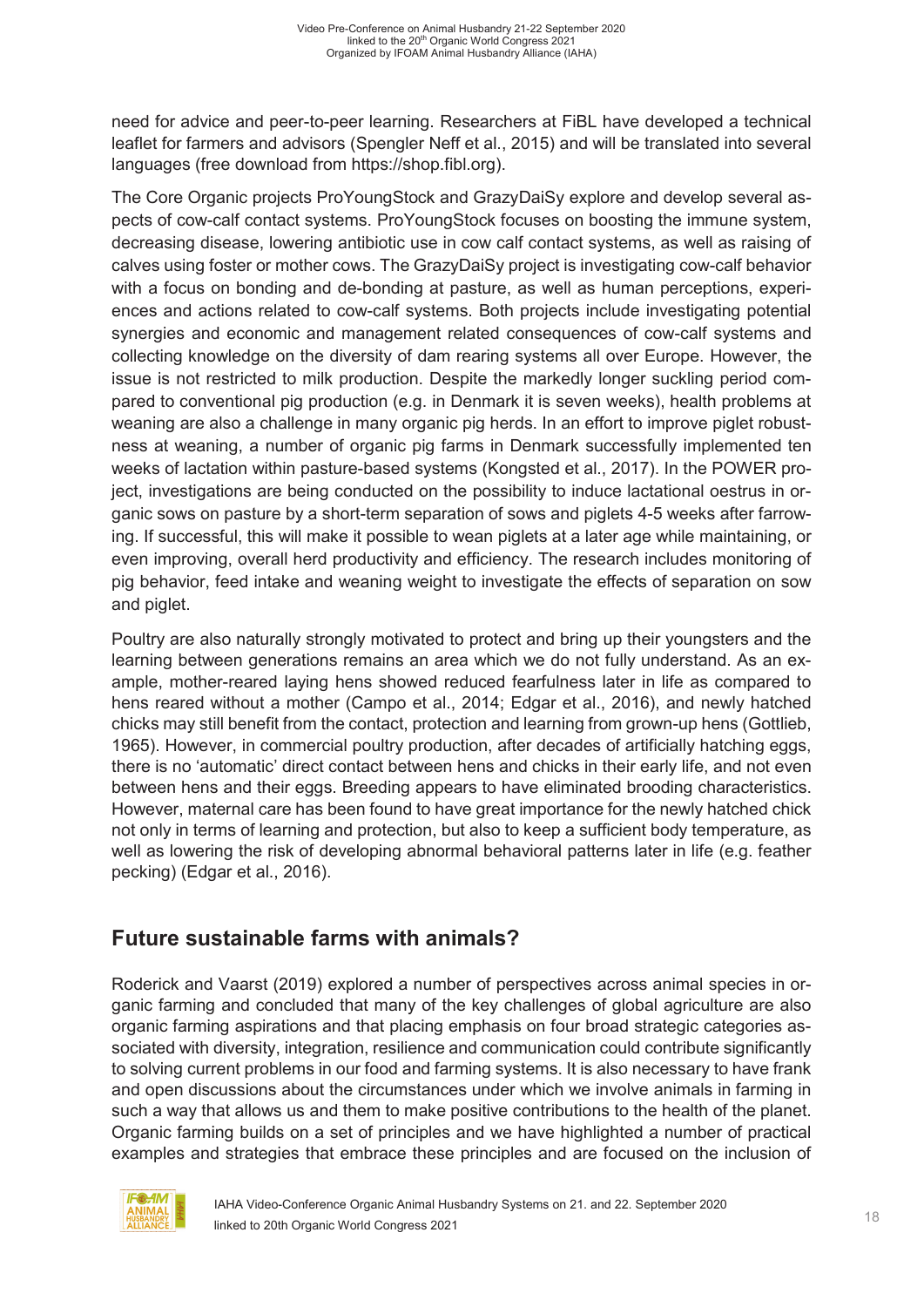need for advice and peer-to-peer learning. Researchers at FiBL have developed a technical leaflet for farmers and advisors (Spengler Neff et al., 2015) and will be translated into several languages (free download from https://shop.fibl.org).

The Core Organic projects ProYoungStock and GrazyDaiSy explore and develop several aspects of cow-calf contact systems. ProYoungStock focuses on boosting the immune system, decreasing disease, lowering antibiotic use in cow calf contact systems, as well as raising of calves using foster or mother cows. The GrazyDaiSy project is investigating cow-calf behavior with a focus on bonding and de-bonding at pasture, as well as human perceptions, experiences and actions related to cow-calf systems. Both projects include investigating potential synergies and economic and management related consequences of cow-calf systems and collecting knowledge on the diversity of dam rearing systems all over Europe. However, the issue is not restricted to milk production. Despite the markedly longer suckling period compared to conventional pig production (e.g. in Denmark it is seven weeks), health problems at weaning are also a challenge in many organic pig herds. In an effort to improve piglet robustness at weaning, a number of organic pig farms in Denmark successfully implemented ten weeks of lactation within pasture-based systems (Kongsted et al., 2017). In the POWER project, investigations are being conducted on the possibility to induce lactational oestrus in organic sows on pasture by a short-term separation of sows and piglets 4-5 weeks after farrowing. If successful, this will make it possible to wean piglets at a later age while maintaining, or even improving, overall herd productivity and efficiency. The research includes monitoring of pig behavior, feed intake and weaning weight to investigate the effects of separation on sow and piglet.

Poultry are also naturally strongly motivated to protect and bring up their youngsters and the learning between generations remains an area which we do not fully understand. As an example, mother-reared laying hens showed reduced fearfulness later in life as compared to hens reared without a mother (Campo et al., 2014; Edgar et al., 2016), and newly hatched chicks may still benefit from the contact, protection and learning from grown-up hens (Gottlieb, 1965). However, in commercial poultry production, after decades of artificially hatching eggs, there is no 'automatic' direct contact between hens and chicks in their early life, and not even between hens and their eggs. Breeding appears to have eliminated brooding characteristics. However, maternal care has been found to have great importance for the newly hatched chick not only in terms of learning and protection, but also to keep a sufficient body temperature, as well as lowering the risk of developing abnormal behavioral patterns later in life (e.g. feather pecking) (Edgar et al., 2016).

# **Future sustainable farms with animals?**

Roderick and Vaarst (2019) explored a number of perspectives across animal species in organic farming and concluded that many of the key challenges of global agriculture are also organic farming aspirations and that placing emphasis on four broad strategic categories associated with diversity, integration, resilience and communication could contribute significantly to solving current problems in our food and farming systems. It is also necessary to have frank and open discussions about the circumstances under which we involve animals in farming in such a way that allows us and them to make positive contributions to the health of the planet. Organic farming builds on a set of principles and we have highlighted a number of practical examples and strategies that embrace these principles and are focused on the inclusion of

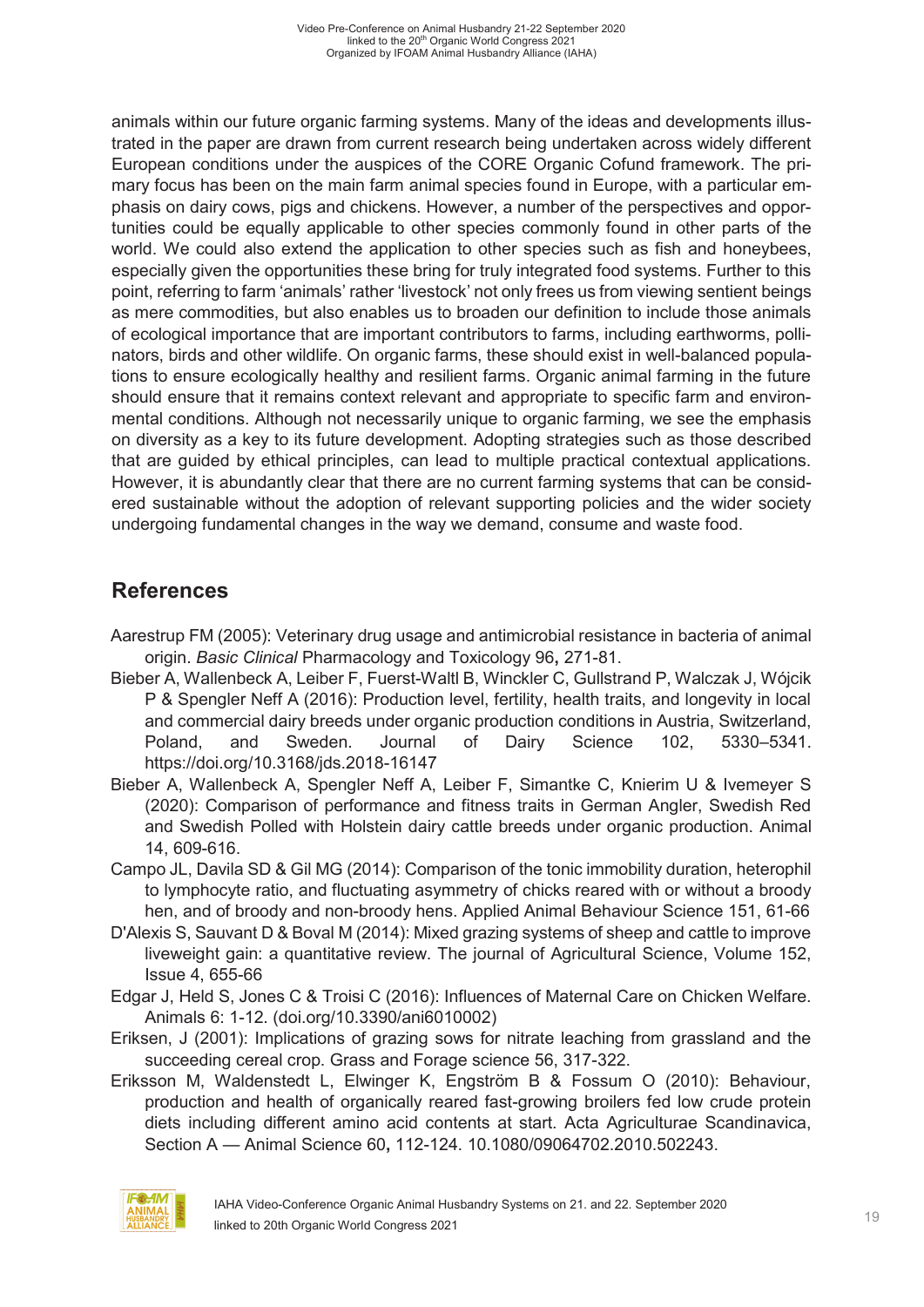animals within our future organic farming systems. Many of the ideas and developments illustrated in the paper are drawn from current research being undertaken across widely different European conditions under the auspices of the CORE Organic Cofund framework. The primary focus has been on the main farm animal species found in Europe, with a particular emphasis on dairy cows, pigs and chickens. However, a number of the perspectives and opportunities could be equally applicable to other species commonly found in other parts of the world. We could also extend the application to other species such as fish and honeybees, especially given the opportunities these bring for truly integrated food systems. Further to this point, referring to farm 'animals' rather 'livestock' not only frees us from viewing sentient beings as mere commodities, but also enables us to broaden our definition to include those animals of ecological importance that are important contributors to farms, including earthworms, pollinators, birds and other wildlife. On organic farms, these should exist in well-balanced populations to ensure ecologically healthy and resilient farms. Organic animal farming in the future should ensure that it remains context relevant and appropriate to specific farm and environmental conditions. Although not necessarily unique to organic farming, we see the emphasis on diversity as a key to its future development. Adopting strategies such as those described that are guided by ethical principles, can lead to multiple practical contextual applications. However, it is abundantly clear that there are no current farming systems that can be considered sustainable without the adoption of relevant supporting policies and the wider society undergoing fundamental changes in the way we demand, consume and waste food.

# **References**

- Aarestrup FM (2005): Veterinary drug usage and antimicrobial resistance in bacteria of animal origin. *Basic Clinical* Pharmacology and Toxicology 96**,** 271-81.
- Bieber A, Wallenbeck A, Leiber F, Fuerst-Waltl B, Winckler C, Gullstrand P, Walczak J, Wójcik P & Spengler Neff A (2016): Production level, fertility, health traits, and longevity in local and commercial dairy breeds under organic production conditions in Austria, Switzerland, Poland, and Sweden. Journal of Dairy Science 102, 5330–5341. https://doi.org/10.3168/jds.2018-16147
- Bieber A, Wallenbeck A, Spengler Neff A, Leiber F, Simantke C, Knierim U & Ivemeyer S (2020): Comparison of performance and fitness traits in German Angler, Swedish Red and Swedish Polled with Holstein dairy cattle breeds under organic production. Animal 14, 609-616.
- Campo JL, Davila SD & Gil MG (2014): Comparison of the tonic immobility duration, heterophil to lymphocyte ratio, and fluctuating asymmetry of chicks reared with or without a broody hen, and of broody and non-broody hens. Applied Animal Behaviour Science 151, 61-66
- D'Alexis S, Sauvant D & Boval M (2014): Mixed grazing systems of sheep and cattle to improve liveweight gain: a quantitative review. The journal of Agricultural Science, Volume 152, Issue 4, 655-66
- Edgar J, Held S, Jones C & Troisi C (2016): Influences of Maternal Care on Chicken Welfare. Animals 6: 1-12. (doi.org/10.3390/ani6010002)
- Eriksen, J (2001): Implications of grazing sows for nitrate leaching from grassland and the succeeding cereal crop. Grass and Forage science 56, 317-322.
- Eriksson M, Waldenstedt L, Elwinger K, Engström B & Fossum O (2010): Behaviour, production and health of organically reared fast-growing broilers fed low crude protein diets including different amino acid contents at start. Acta Agriculturae Scandinavica, Section A — Animal Science 60**,** 112-124. 10.1080/09064702.2010.502243.

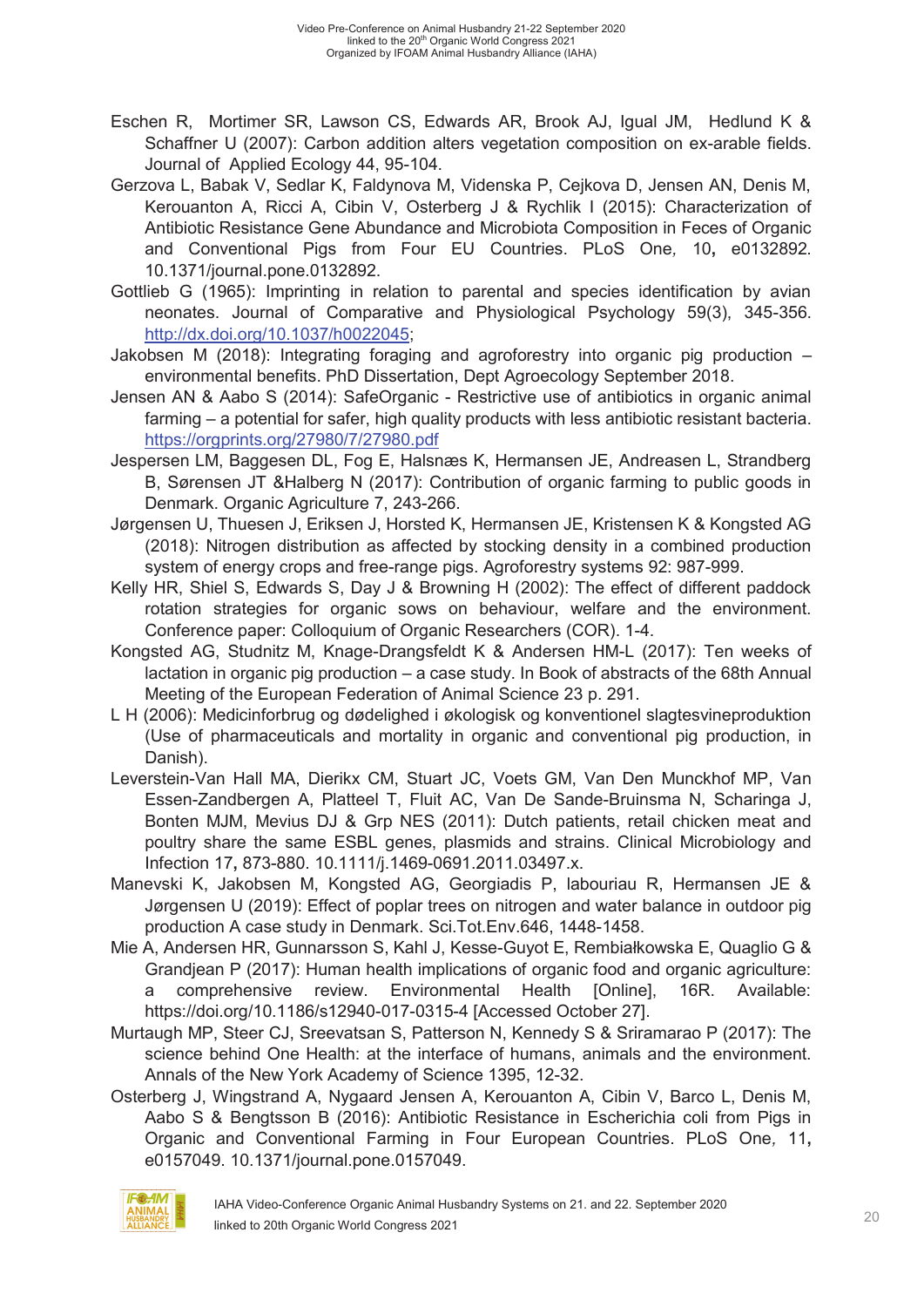- Eschen R, Mortimer SR, Lawson CS, Edwards AR, Brook AJ, Igual JM, Hedlund K & Schaffner U (2007): Carbon addition alters vegetation composition on ex-arable fields. Journal of Applied Ecology 44, 95-104.
- Gerzova L, Babak V, Sedlar K, Faldynova M, Videnska P, Cejkova D, Jensen AN, Denis M, Kerouanton A, Ricci A, Cibin V, Osterberg J & Rychlik I (2015): Characterization of Antibiotic Resistance Gene Abundance and Microbiota Composition in Feces of Organic and Conventional Pigs from Four EU Countries. PLoS One*,* 10**,** e0132892. 10.1371/journal.pone.0132892.
- Gottlieb G (1965): Imprinting in relation to parental and species identification by avian neonates. Journal of Comparative and Physiological Psychology 59(3), 345-356. http://dx.doi.org/10.1037/h0022045;
- Jakobsen M (2018): Integrating foraging and agroforestry into organic pig production environmental benefits. PhD Dissertation, Dept Agroecology September 2018.
- Jensen AN & Aabo S (2014): SafeOrganic Restrictive use of antibiotics in organic animal farming – a potential for safer, high quality products with less antibiotic resistant bacteria. https://orgprints.org/27980/7/27980.pdf
- Jespersen LM, Baggesen DL, Fog E, Halsnæs K, Hermansen JE, Andreasen L, Strandberg B, Sørensen JT &Halberg N (2017): Contribution of organic farming to public goods in Denmark. Organic Agriculture 7, 243-266.
- Jørgensen U, Thuesen J, Eriksen J, Horsted K, Hermansen JE, Kristensen K & Kongsted AG (2018): Nitrogen distribution as affected by stocking density in a combined production system of energy crops and free-range pigs. Agroforestry systems 92: 987-999.
- Kelly HR, Shiel S, Edwards S, Day J & Browning H (2002): The effect of different paddock rotation strategies for organic sows on behaviour, welfare and the environment. Conference paper: Colloquium of Organic Researchers (COR). 1-4.
- Kongsted AG, Studnitz M, Knage-Drangsfeldt K & Andersen HM-L (2017): Ten weeks of lactation in organic pig production – a case study. In Book of abstracts of the 68th Annual Meeting of the European Federation of Animal Science 23 p. 291.
- L H (2006): Medicinforbrug og dødelighed i økologisk og konventionel slagtesvineproduktion (Use of pharmaceuticals and mortality in organic and conventional pig production, in Danish).
- Leverstein-Van Hall MA, Dierikx CM, Stuart JC, Voets GM, Van Den Munckhof MP, Van Essen-Zandbergen A, Platteel T, Fluit AC, Van De Sande-Bruinsma N, Scharinga J, Bonten MJM, Mevius DJ & Grp NES (2011): Dutch patients, retail chicken meat and poultry share the same ESBL genes, plasmids and strains. Clinical Microbiology and Infection 17**,** 873-880. 10.1111/j.1469-0691.2011.03497.x.
- Manevski K, Jakobsen M, Kongsted AG, Georgiadis P, labouriau R, Hermansen JE & Jørgensen U (2019): Effect of poplar trees on nitrogen and water balance in outdoor pig production A case study in Denmark. Sci.Tot.Env.646, 1448-1458.
- Mie A, Andersen HR, Gunnarsson S, Kahl J, Kesse-Guyot E, Rembiałkowska E, Quaglio G & Grandjean P (2017): Human health implications of organic food and organic agriculture: a comprehensive review. Environmental Health [Online], 16R. Available: https://doi.org/10.1186/s12940-017-0315-4 [Accessed October 27].
- Murtaugh MP, Steer CJ, Sreevatsan S, Patterson N, Kennedy S & Sriramarao P (2017): The science behind One Health: at the interface of humans, animals and the environment. Annals of the New York Academy of Science 1395, 12-32.
- Osterberg J, Wingstrand A, Nygaard Jensen A, Kerouanton A, Cibin V, Barco L, Denis M, Aabo S & Bengtsson B (2016): Antibiotic Resistance in Escherichia coli from Pigs in Organic and Conventional Farming in Four European Countries. PLoS One*,* 11**,** e0157049. 10.1371/journal.pone.0157049.

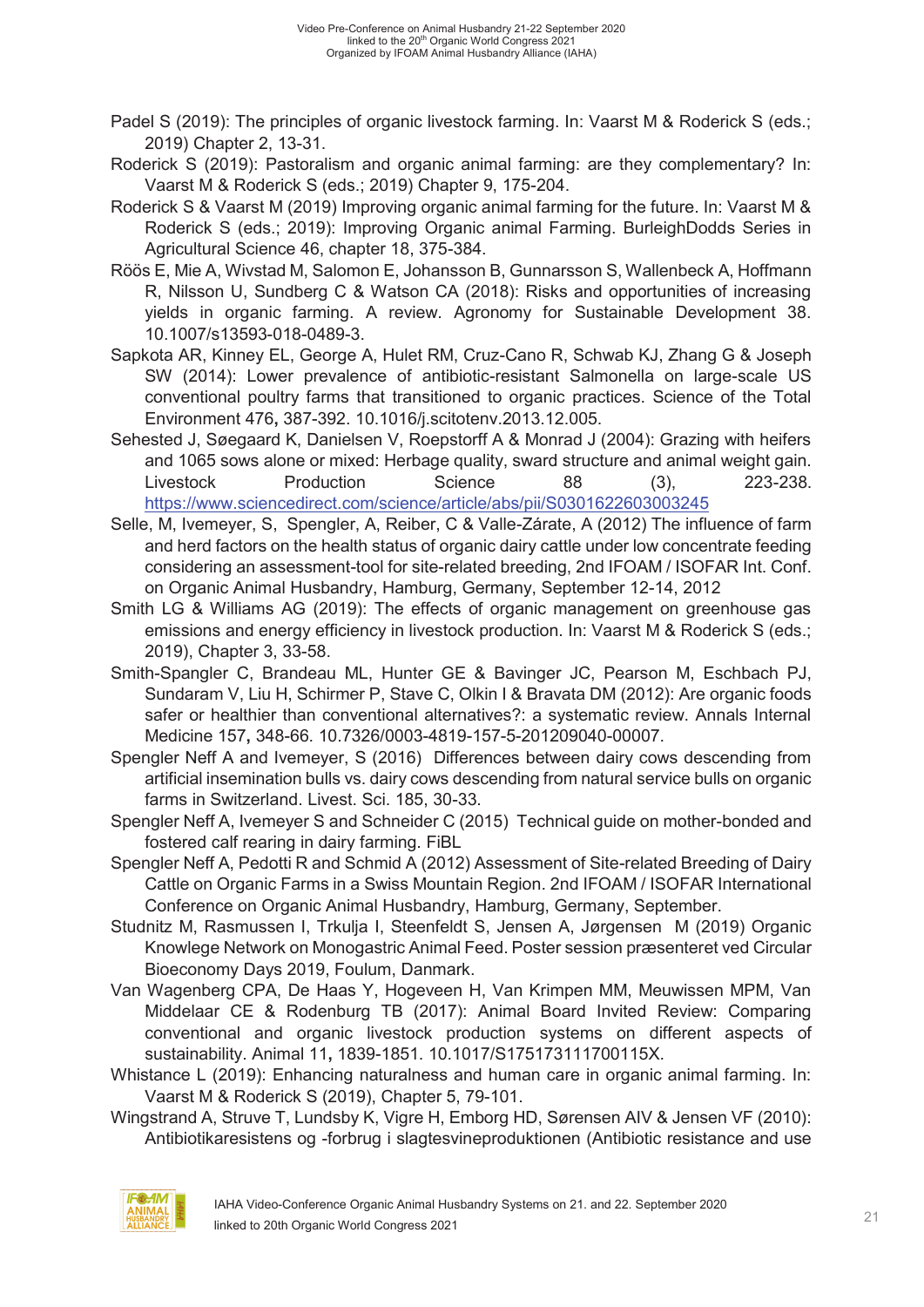- Padel S (2019): The principles of organic livestock farming. In: Vaarst M & Roderick S (eds.; 2019) Chapter 2, 13-31.
- Roderick S (2019): Pastoralism and organic animal farming: are they complementary? In: Vaarst M & Roderick S (eds.; 2019) Chapter 9, 175-204.
- Roderick S & Vaarst M (2019) Improving organic animal farming for the future. In: Vaarst M & Roderick S (eds.; 2019): Improving Organic animal Farming. BurleighDodds Series in Agricultural Science 46, chapter 18, 375-384.
- Röös E, Mie A, Wivstad M, Salomon E, Johansson B, Gunnarsson S, Wallenbeck A, Hoffmann R, Nilsson U, Sundberg C & Watson CA (2018): Risks and opportunities of increasing yields in organic farming. A review. Agronomy for Sustainable Development 38. 10.1007/s13593-018-0489-3.
- Sapkota AR, Kinney EL, George A, Hulet RM, Cruz-Cano R, Schwab KJ, Zhang G & Joseph SW (2014): Lower prevalence of antibiotic-resistant Salmonella on large-scale US conventional poultry farms that transitioned to organic practices. Science of the Total Environment 476**,** 387-392. 10.1016/j.scitotenv.2013.12.005.
- Sehested J, Søegaard K, Danielsen V, Roepstorff A & Monrad J (2004): Grazing with heifers and 1065 sows alone or mixed: Herbage quality, sward structure and animal weight gain. Livestock Production Science 88 (3), 223-238. https://www.sciencedirect.com/science/article/abs/pii/S0301622603003245
- Selle, M, Ivemeyer, S, Spengler, A, Reiber, C & Valle-Zárate, A (2012) The influence of farm and herd factors on the health status of organic dairy cattle under low concentrate feeding considering an assessment-tool for site-related breeding, 2nd IFOAM / ISOFAR Int. Conf. on Organic Animal Husbandry, Hamburg, Germany, September 12-14, 2012
- Smith LG & Williams AG (2019): The effects of organic management on greenhouse gas emissions and energy efficiency in livestock production. In: Vaarst M & Roderick S (eds.; 2019), Chapter 3, 33-58.
- Smith-Spangler C, Brandeau ML, Hunter GE & Bavinger JC, Pearson M, Eschbach PJ, Sundaram V, Liu H, Schirmer P, Stave C, Olkin I & Bravata DM (2012): Are organic foods safer or healthier than conventional alternatives?: a systematic review. Annals Internal Medicine 157**,** 348-66. 10.7326/0003-4819-157-5-201209040-00007.
- Spengler Neff A and Ivemeyer, S (2016) Differences between dairy cows descending from artificial insemination bulls vs. dairy cows descending from natural service bulls on organic farms in Switzerland. Livest. Sci. 185, 30-33.
- Spengler Neff A, Ivemeyer S and Schneider C (2015) Technical guide on mother-bonded and fostered calf rearing in dairy farming. FiBL
- Spengler Neff A, Pedotti R and Schmid A (2012) Assessment of Site-related Breeding of Dairy Cattle on Organic Farms in a Swiss Mountain Region. 2nd IFOAM / ISOFAR International Conference on Organic Animal Husbandry, Hamburg, Germany, September.
- Studnitz M, Rasmussen I, Trkulja I, Steenfeldt S, Jensen A, Jørgensen M (2019) Organic Knowlege Network on Monogastric Animal Feed. Poster session præsenteret ved Circular Bioeconomy Days 2019, Foulum, Danmark.
- Van Wagenberg CPA, De Haas Y, Hogeveen H, Van Krimpen MM, Meuwissen MPM, Van Middelaar CE & Rodenburg TB (2017): Animal Board Invited Review: Comparing conventional and organic livestock production systems on different aspects of sustainability. Animal 11**,** 1839-1851. 10.1017/S175173111700115X.
- Whistance L (2019): Enhancing naturalness and human care in organic animal farming. In: Vaarst M & Roderick S (2019), Chapter 5, 79-101.
- Wingstrand A, Struve T, Lundsby K, Vigre H, Emborg HD, Sørensen AIV & Jensen VF (2010): Antibiotikaresistens og -forbrug i slagtesvineproduktionen (Antibiotic resistance and use